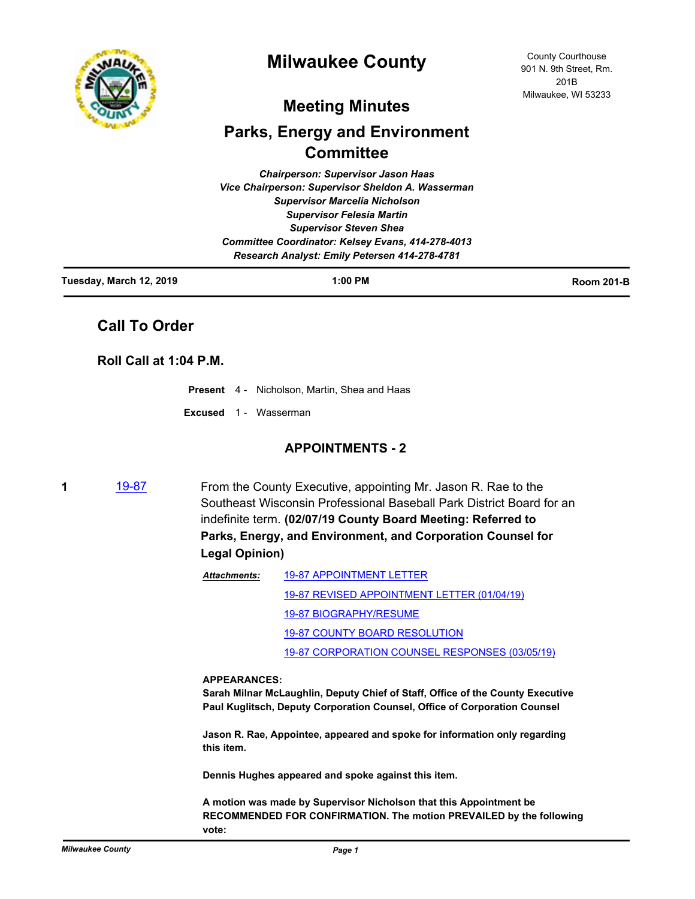

# **Milwaukee County**

## **Meeting Minutes**

# **Parks, Energy and Environment Committee**

*Chairperson: Supervisor Jason Haas Vice Chairperson: Supervisor Sheldon A. Wasserman Supervisor Marcelia Nicholson Supervisor Felesia Martin Supervisor Steven Shea Committee Coordinator: Kelsey Evans, 414-278-4013 Research Analyst: Emily Petersen 414-278-4781*

| Tuesday, March 12, 2019 | 1:00 PM | <b>Room 201-B</b> |
|-------------------------|---------|-------------------|
|                         |         |                   |

## **Call To Order**

## **Roll Call at 1:04 P.M.**

|  | <b>Present</b> 4 - Nicholson, Martin, Shea and Haas |
|--|-----------------------------------------------------|
|  |                                                     |

### **Excused** 1 - Wasserman

## **APPOINTMENTS - 2**

**1** [19-87](http://milwaukeecounty.legistar.com/gateway.aspx?m=l&id=/matter.aspx?key=8599) From the County Executive, appointing Mr. Jason R. Rae to the Southeast Wisconsin Professional Baseball Park District Board for an indefinite term. **(02/07/19 County Board Meeting: Referred to Parks, Energy, and Environment, and Corporation Counsel for Legal Opinion)**

| Attachments: | <b>19-87 APPOINTMENT LETTER</b>                |
|--------------|------------------------------------------------|
|              | 19-87 REVISED APPOINTMENT LETTER (01/04/19)    |
|              | 19-87 BIOGRAPHY/RESUME                         |
|              | 19-87 COUNTY BOARD RESOLUTION                  |
|              | 19-87 CORPORATION COUNSEL RESPONSES (03/05/19) |
|              |                                                |

#### **APPEARANCES:**

**Sarah Milnar McLaughlin, Deputy Chief of Staff, Office of the County Executive Paul Kuglitsch, Deputy Corporation Counsel, Office of Corporation Counsel**

**Jason R. Rae, Appointee, appeared and spoke for information only regarding this item.**

**Dennis Hughes appeared and spoke against this item.**

**A motion was made by Supervisor Nicholson that this Appointment be RECOMMENDED FOR CONFIRMATION. The motion PREVAILED by the following vote:**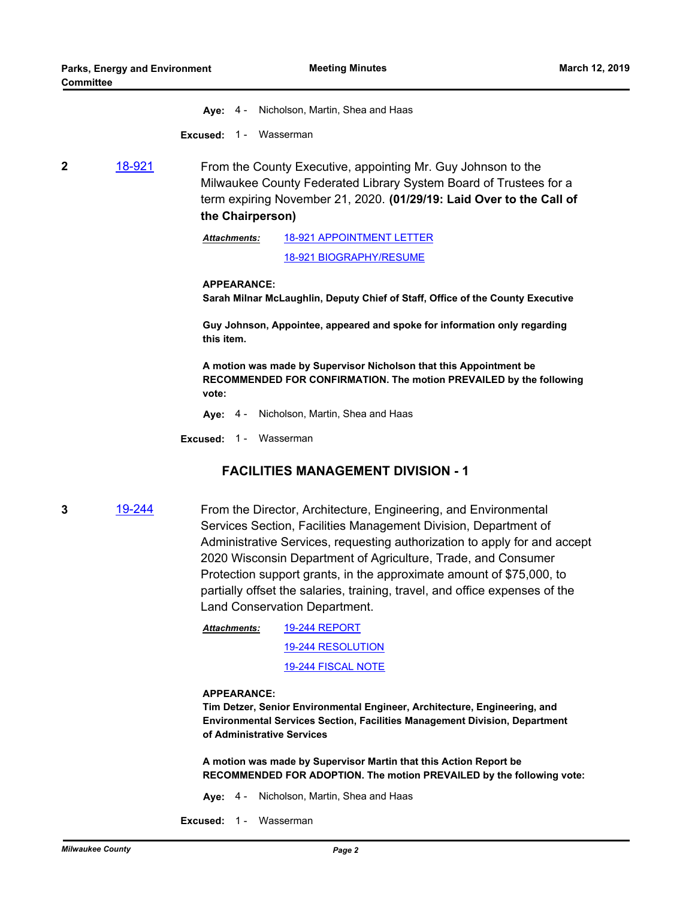**Aye:** 4 - Nicholson, Martin, Shea and Haas

**Excused: 1 - Wasserman** 

**2** [18-921](http://milwaukeecounty.legistar.com/gateway.aspx?m=l&id=/matter.aspx?key=8540) From the County Executive, appointing Mr. Guy Johnson to the Milwaukee County Federated Library System Board of Trustees for a term expiring November 21, 2020. **(01/29/19: Laid Over to the Call of the Chairperson)**

> [18-921 APPOINTMENT LETTER](http://MilwaukeeCounty.legistar.com/gateway.aspx?M=F&ID=c3e05911-e0b8-4d4c-a212-df5b62c29ef1.pdf) [18-921 BIOGRAPHY/RESUME](http://MilwaukeeCounty.legistar.com/gateway.aspx?M=F&ID=54a65193-544f-49d8-ae6a-cdd572d2d401.pdf) *Attachments:*

#### **APPEARANCE:**

**Sarah Milnar McLaughlin, Deputy Chief of Staff, Office of the County Executive**

**Guy Johnson, Appointee, appeared and spoke for information only regarding this item.**

**A motion was made by Supervisor Nicholson that this Appointment be RECOMMENDED FOR CONFIRMATION. The motion PREVAILED by the following vote:**

**Aye:** 4 - Nicholson, Martin, Shea and Haas

**Excused:** 1 - Wasserman

## **FACILITIES MANAGEMENT DIVISION - 1**

**3** [19-244](http://milwaukeecounty.legistar.com/gateway.aspx?m=l&id=/matter.aspx?key=8754) From the Director, Architecture, Engineering, and Environmental Services Section, Facilities Management Division, Department of Administrative Services, requesting authorization to apply for and accept 2020 Wisconsin Department of Agriculture, Trade, and Consumer Protection support grants, in the approximate amount of \$75,000, to partially offset the salaries, training, travel, and office expenses of the Land Conservation Department.

> [19-244 REPORT](http://MilwaukeeCounty.legistar.com/gateway.aspx?M=F&ID=45d6431a-be93-486d-9b4a-8d9d190c05f1.pdf) [19-244 RESOLUTION](http://MilwaukeeCounty.legistar.com/gateway.aspx?M=F&ID=9007d546-b6fc-4f44-9e9c-df7eb5a3505f.docx) [19-244 FISCAL NOTE](http://MilwaukeeCounty.legistar.com/gateway.aspx?M=F&ID=2ce7f258-0b84-4ff8-b4a5-c8fc80b01c1d.pdf) *Attachments:*

#### **APPEARANCE:**

**Tim Detzer, Senior Environmental Engineer, Architecture, Engineering, and Environmental Services Section, Facilities Management Division, Department of Administrative Services**

**A motion was made by Supervisor Martin that this Action Report be RECOMMENDED FOR ADOPTION. The motion PREVAILED by the following vote:**

- **Aye:** 4 Nicholson, Martin, Shea and Haas
- **Excused: 1 Wasserman**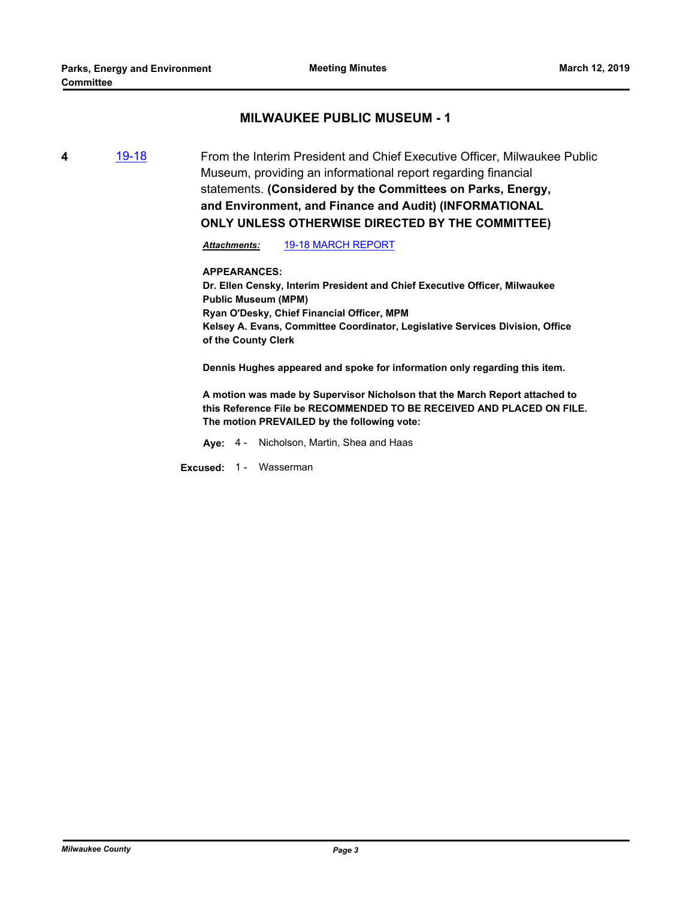## **MILWAUKEE PUBLIC MUSEUM - 1**

**4** [19-18](http://milwaukeecounty.legistar.com/gateway.aspx?m=l&id=/matter.aspx?key=8632) From the Interim President and Chief Executive Officer, Milwaukee Public Museum, providing an informational report regarding financial statements. **(Considered by the Committees on Parks, Energy, and Environment, and Finance and Audit) (INFORMATIONAL** 

**ONLY UNLESS OTHERWISE DIRECTED BY THE COMMITTEE)**

*Attachments:* [19-18 MARCH REPORT](http://MilwaukeeCounty.legistar.com/gateway.aspx?M=F&ID=0c198cc0-c488-4ea5-ab15-811ff2383948.pdf)

**APPEARANCES: Dr. Ellen Censky, Interim President and Chief Executive Officer, Milwaukee Public Museum (MPM) Ryan O'Desky, Chief Financial Officer, MPM Kelsey A. Evans, Committee Coordinator, Legislative Services Division, Office of the County Clerk**

**Dennis Hughes appeared and spoke for information only regarding this item.**

**A motion was made by Supervisor Nicholson that the March Report attached to this Reference File be RECOMMENDED TO BE RECEIVED AND PLACED ON FILE. The motion PREVAILED by the following vote:**

**Aye:** 4 - Nicholson, Martin, Shea and Haas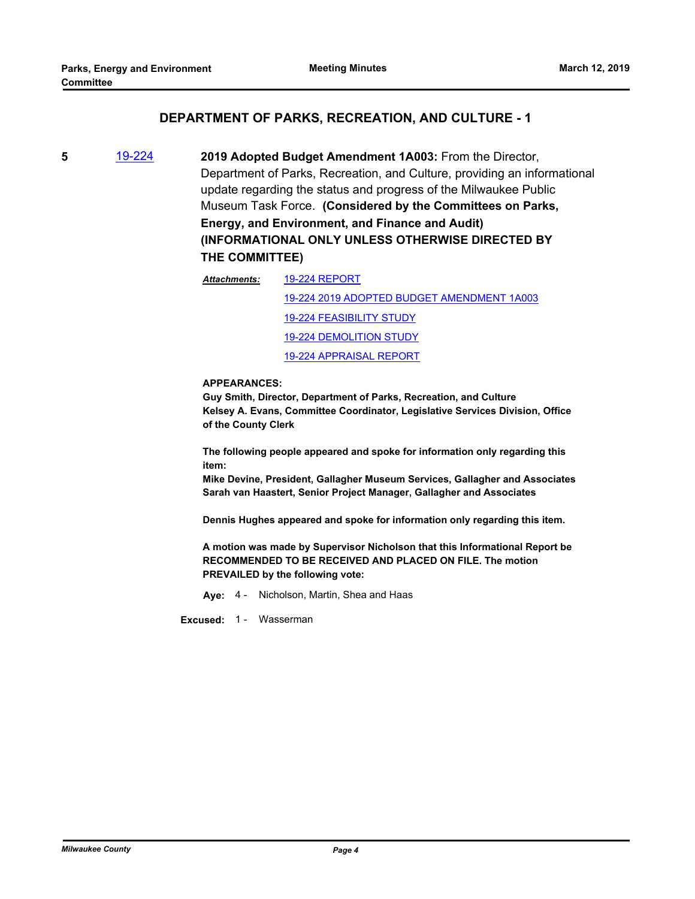## **DEPARTMENT OF PARKS, RECREATION, AND CULTURE - 1**

**5** [19-224](http://milwaukeecounty.legistar.com/gateway.aspx?m=l&id=/matter.aspx?key=8734) **2019 Adopted Budget Amendment 1A003:** From the Director, Department of Parks, Recreation, and Culture, providing an informational update regarding the status and progress of the Milwaukee Public Museum Task Force. **(Considered by the Committees on Parks, Energy, and Environment, and Finance and Audit) (INFORMATIONAL ONLY UNLESS OTHERWISE DIRECTED BY THE COMMITTEE)**

> [19-224 REPORT](http://MilwaukeeCounty.legistar.com/gateway.aspx?M=F&ID=f2f3326d-af35-4324-97bf-256f52fc108f.pdf) [19-224 2019 ADOPTED BUDGET AMENDMENT 1A003](http://MilwaukeeCounty.legistar.com/gateway.aspx?M=F&ID=8c74d0b6-e6c6-452c-83b8-c2a8f8dae06e.pdf) [19-224 FEASIBILITY STUDY](http://MilwaukeeCounty.legistar.com/gateway.aspx?M=F&ID=3a7add00-a346-4877-904c-faad74cfcda1.pdf) [19-224 DEMOLITION STUDY](http://MilwaukeeCounty.legistar.com/gateway.aspx?M=F&ID=358d84c6-b661-4801-815e-2782e1a588ed.pdf) [19-224 APPRAISAL REPORT](http://MilwaukeeCounty.legistar.com/gateway.aspx?M=F&ID=e261b307-d7e1-4758-8393-8bec1e7f77ee.pdf) *Attachments:*

#### **APPEARANCES:**

**Guy Smith, Director, Department of Parks, Recreation, and Culture Kelsey A. Evans, Committee Coordinator, Legislative Services Division, Office of the County Clerk**

**The following people appeared and spoke for information only regarding this item:**

**Mike Devine, President, Gallagher Museum Services, Gallagher and Associates Sarah van Haastert, Senior Project Manager, Gallagher and Associates**

**Dennis Hughes appeared and spoke for information only regarding this item.**

**A motion was made by Supervisor Nicholson that this Informational Report be RECOMMENDED TO BE RECEIVED AND PLACED ON FILE. The motion PREVAILED by the following vote:**

**Aye:** 4 - Nicholson, Martin, Shea and Haas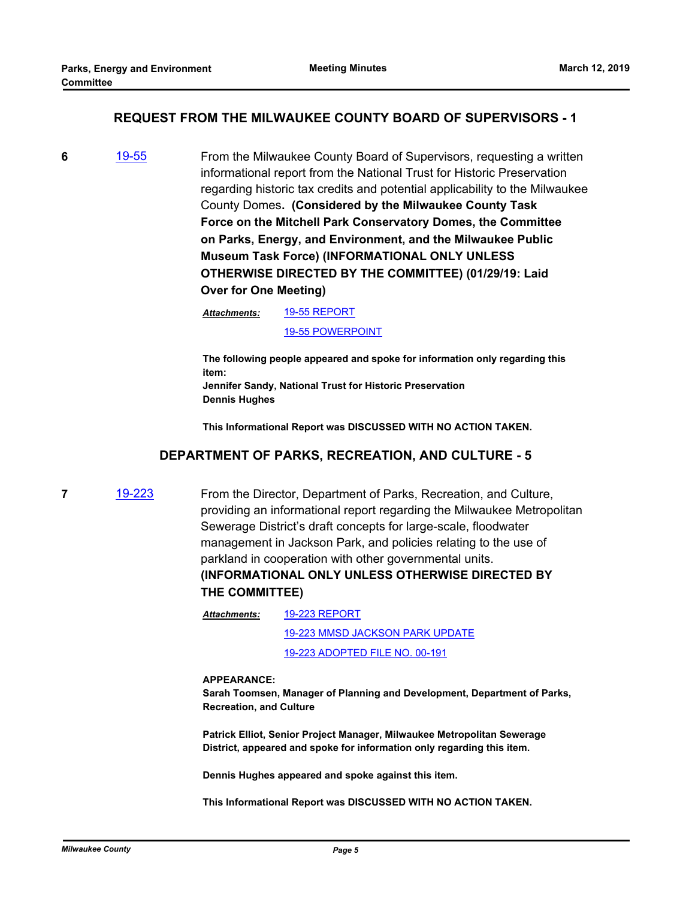### **REQUEST FROM THE MILWAUKEE COUNTY BOARD OF SUPERVISORS - 1**

**6** [19-55](http://milwaukeecounty.legistar.com/gateway.aspx?m=l&id=/matter.aspx?key=8567) From the Milwaukee County Board of Supervisors, requesting a written informational report from the National Trust for Historic Preservation regarding historic tax credits and potential applicability to the Milwaukee County Domes**. (Considered by the Milwaukee County Task Force on the Mitchell Park Conservatory Domes, the Committee on Parks, Energy, and Environment, and the Milwaukee Public Museum Task Force) (INFORMATIONAL ONLY UNLESS OTHERWISE DIRECTED BY THE COMMITTEE) (01/29/19: Laid Over for One Meeting)**

> [19-55 REPORT](http://MilwaukeeCounty.legistar.com/gateway.aspx?M=F&ID=8118b00c-82d0-4acb-a4bd-a3a0a5d93f0b.pdf) *Attachments:*

> > [19-55 POWERPOINT](http://MilwaukeeCounty.legistar.com/gateway.aspx?M=F&ID=bc861f3b-fd7f-4e49-bfd7-526c437a4241.pdf)

**The following people appeared and spoke for information only regarding this item: Jennifer Sandy, National Trust for Historic Preservation Dennis Hughes**

**This Informational Report was DISCUSSED WITH NO ACTION TAKEN.**

### **DEPARTMENT OF PARKS, RECREATION, AND CULTURE - 5**

**7** [19-223](http://milwaukeecounty.legistar.com/gateway.aspx?m=l&id=/matter.aspx?key=8733) From the Director, Department of Parks, Recreation, and Culture, providing an informational report regarding the Milwaukee Metropolitan Sewerage District's draft concepts for large-scale, floodwater management in Jackson Park, and policies relating to the use of parkland in cooperation with other governmental units. **(INFORMATIONAL ONLY UNLESS OTHERWISE DIRECTED BY THE COMMITTEE)**

> [19-223 REPORT](http://MilwaukeeCounty.legistar.com/gateway.aspx?M=F&ID=40e14817-cf71-41a6-a9b5-f49440f08a7d.pdf) [19-223 MMSD JACKSON PARK UPDATE](http://MilwaukeeCounty.legistar.com/gateway.aspx?M=F&ID=adce33b2-42ec-4ebe-a152-310346f32f21.pdf) [19-223 ADOPTED FILE NO. 00-191](http://MilwaukeeCounty.legistar.com/gateway.aspx?M=F&ID=c04da158-8a6b-4bcb-89dc-1d6b63a29636.pdf) *Attachments:*

#### **APPEARANCE:**

**Sarah Toomsen, Manager of Planning and Development, Department of Parks, Recreation, and Culture**

**Patrick Elliot, Senior Project Manager, Milwaukee Metropolitan Sewerage District, appeared and spoke for information only regarding this item.**

**Dennis Hughes appeared and spoke against this item.**

**This Informational Report was DISCUSSED WITH NO ACTION TAKEN.**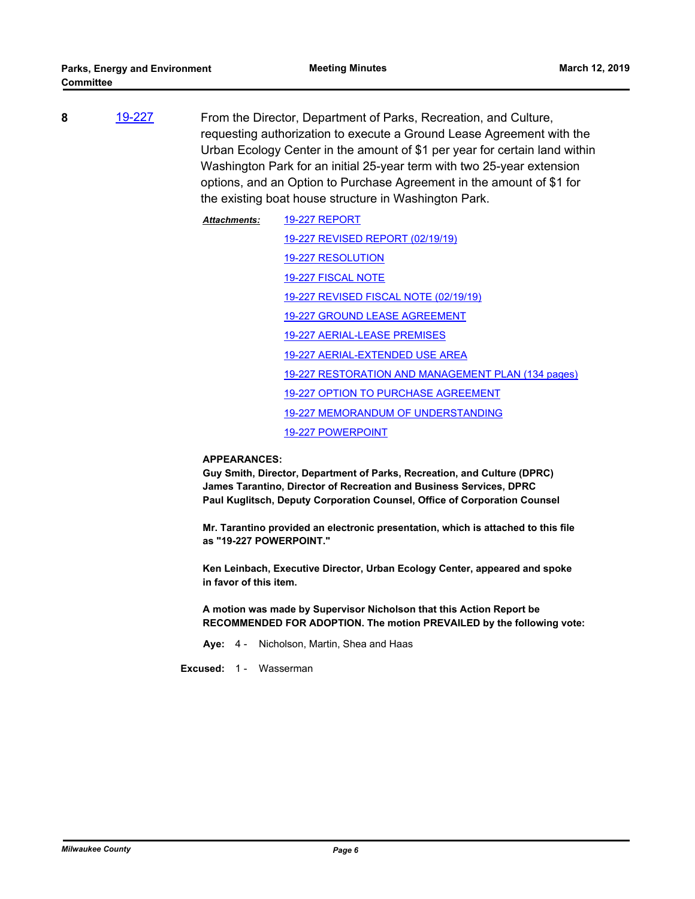- **8** [19-227](http://milwaukeecounty.legistar.com/gateway.aspx?m=l&id=/matter.aspx?key=8737) From the Director, Department of Parks, Recreation, and Culture, requesting authorization to execute a Ground Lease Agreement with the Urban Ecology Center in the amount of \$1 per year for certain land within Washington Park for an initial 25-year term with two 25-year extension options, and an Option to Purchase Agreement in the amount of \$1 for the existing boat house structure in Washington Park.
	- [19-227 REPORT](http://MilwaukeeCounty.legistar.com/gateway.aspx?M=F&ID=c4edd270-544f-4d75-9bfa-6b2e5b865b05.pdf) [19-227 REVISED REPORT \(02/19/19\)](http://MilwaukeeCounty.legistar.com/gateway.aspx?M=F&ID=def705b6-2aea-473b-85a5-a39097404f35.pdf) [19-227 RESOLUTION](http://MilwaukeeCounty.legistar.com/gateway.aspx?M=F&ID=448ee577-55f5-4b2e-b6bf-24f8ff94bc2a.docx) [19-227 FISCAL NOTE](http://MilwaukeeCounty.legistar.com/gateway.aspx?M=F&ID=ab5ab6d8-32fa-4678-8890-02ec7382610d.pdf) [19-227 REVISED FISCAL NOTE \(02/19/19\)](http://MilwaukeeCounty.legistar.com/gateway.aspx?M=F&ID=f00e8648-2ff4-40e2-992d-e092b13991e6.pdf) [19-227 GROUND LEASE AGREEMENT](http://MilwaukeeCounty.legistar.com/gateway.aspx?M=F&ID=9afe97c2-4887-4740-a993-42641ccdbcb4.pdf) [19-227 AERIAL-LEASE PREMISES](http://MilwaukeeCounty.legistar.com/gateway.aspx?M=F&ID=d097bfe8-80f8-4671-9937-c36a59ce71a7.pdf) [19-227 AERIAL-EXTENDED USE AREA](http://MilwaukeeCounty.legistar.com/gateway.aspx?M=F&ID=5c0092f0-269b-4695-b01a-3b950db9e60e.pdf) [19-227 RESTORATION AND MANAGEMENT PLAN \(134 pages\)](http://MilwaukeeCounty.legistar.com/gateway.aspx?M=F&ID=97e3aeb4-bd4a-4940-b2ea-af482f009c54.pdf) [19-227 OPTION TO PURCHASE AGREEMENT](http://MilwaukeeCounty.legistar.com/gateway.aspx?M=F&ID=6d9ed08e-1b6e-48ef-a96f-57458e1e3def.pdf) [19-227 MEMORANDUM OF UNDERSTANDING](http://MilwaukeeCounty.legistar.com/gateway.aspx?M=F&ID=c585ec82-e34c-4e0a-956c-d98a55171de4.pdf) [19-227 POWERPOINT](http://MilwaukeeCounty.legistar.com/gateway.aspx?M=F&ID=9945095f-60a4-40a3-9473-a283c64b5cb2.pptx) *Attachments:*

#### **APPEARANCES:**

**Guy Smith, Director, Department of Parks, Recreation, and Culture (DPRC) James Tarantino, Director of Recreation and Business Services, DPRC Paul Kuglitsch, Deputy Corporation Counsel, Office of Corporation Counsel**

**Mr. Tarantino provided an electronic presentation, which is attached to this file as "19-227 POWERPOINT."**

**Ken Leinbach, Executive Director, Urban Ecology Center, appeared and spoke in favor of this item.**

**A motion was made by Supervisor Nicholson that this Action Report be RECOMMENDED FOR ADOPTION. The motion PREVAILED by the following vote:**

**Aye:** 4 - Nicholson, Martin, Shea and Haas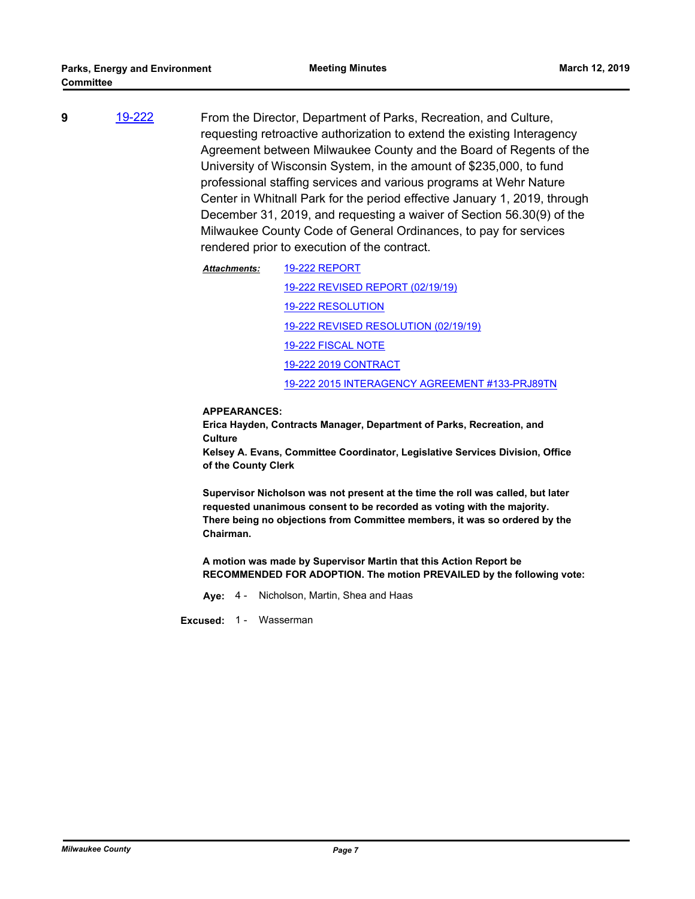- **9** [19-222](http://milwaukeecounty.legistar.com/gateway.aspx?m=l&id=/matter.aspx?key=8732) From the Director, Department of Parks, Recreation, and Culture, requesting retroactive authorization to extend the existing Interagency Agreement between Milwaukee County and the Board of Regents of the University of Wisconsin System, in the amount of \$235,000, to fund professional staffing services and various programs at Wehr Nature Center in Whitnall Park for the period effective January 1, 2019, through December 31, 2019, and requesting a waiver of Section 56.30(9) of the Milwaukee County Code of General Ordinances, to pay for services rendered prior to execution of the contract.
	- [19-222 REPORT](http://MilwaukeeCounty.legistar.com/gateway.aspx?M=F&ID=a820b4b1-9834-45d2-9c19-3943264ab2d0.pdf) [19-222 REVISED REPORT \(02/19/19\)](http://MilwaukeeCounty.legistar.com/gateway.aspx?M=F&ID=37c7f9b9-bf66-4c09-bc7b-0965944fa724.pdf) [19-222 RESOLUTION](http://MilwaukeeCounty.legistar.com/gateway.aspx?M=F&ID=ac1899a9-5c35-41f4-bd35-ee49ed680704.docx) [19-222 REVISED RESOLUTION \(02/19/19\)](http://MilwaukeeCounty.legistar.com/gateway.aspx?M=F&ID=f38b0e29-9a48-4e93-9d29-bb131bf1bff7.docx) [19-222 FISCAL NOTE](http://MilwaukeeCounty.legistar.com/gateway.aspx?M=F&ID=b769f509-0a16-45a3-bcba-e6c128d381d7.pdf) [19-222 2019 CONTRACT](http://MilwaukeeCounty.legistar.com/gateway.aspx?M=F&ID=480786fa-f6ec-40ca-ac8f-d2959fbee776.pdf) [19-222 2015 INTERAGENCY AGREEMENT #133-PRJ89TN](http://MilwaukeeCounty.legistar.com/gateway.aspx?M=F&ID=96cf5b30-4fac-497d-bdf6-cc040960f526.pdf) *Attachments:*

#### **APPEARANCES:**

**Erica Hayden, Contracts Manager, Department of Parks, Recreation, and Culture**

**Kelsey A. Evans, Committee Coordinator, Legislative Services Division, Office of the County Clerk**

**Supervisor Nicholson was not present at the time the roll was called, but later requested unanimous consent to be recorded as voting with the majority. There being no objections from Committee members, it was so ordered by the Chairman.**

**A motion was made by Supervisor Martin that this Action Report be RECOMMENDED FOR ADOPTION. The motion PREVAILED by the following vote:**

**Aye:** 4 - Nicholson, Martin, Shea and Haas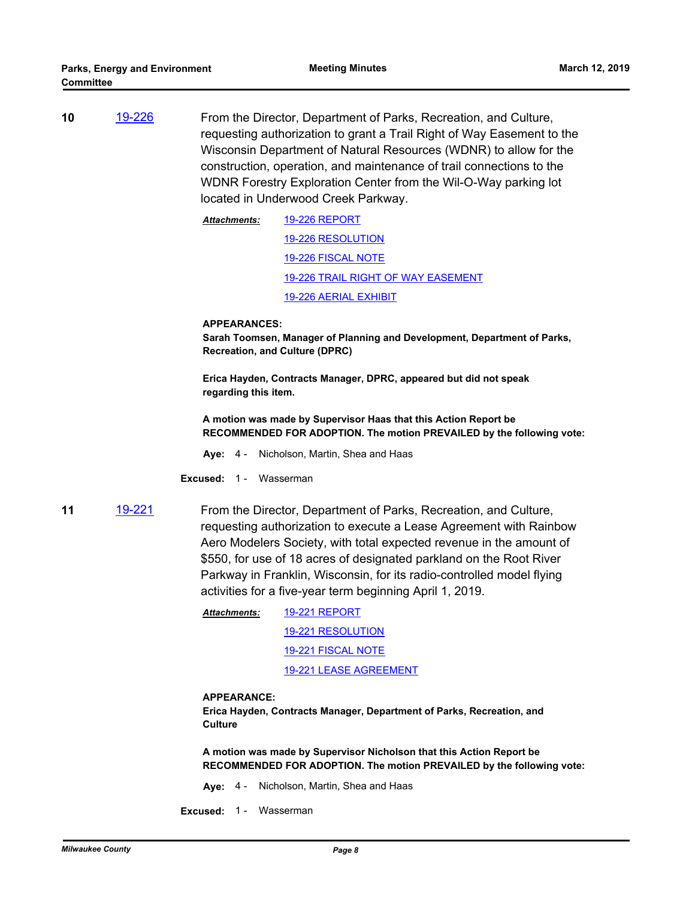**10** [19-226](http://milwaukeecounty.legistar.com/gateway.aspx?m=l&id=/matter.aspx?key=8736) From the Director, Department of Parks, Recreation, and Culture, requesting authorization to grant a Trail Right of Way Easement to the Wisconsin Department of Natural Resources (WDNR) to allow for the construction, operation, and maintenance of trail connections to the WDNR Forestry Exploration Center from the Wil-O-Way parking lot located in Underwood Creek Parkway.

> [19-226 REPORT](http://MilwaukeeCounty.legistar.com/gateway.aspx?M=F&ID=7abeec48-ccde-4741-8006-e7fdb663aa41.pdf) [19-226 RESOLUTION](http://MilwaukeeCounty.legistar.com/gateway.aspx?M=F&ID=1fee2d6d-12ee-4e13-af69-51798743b580.doc) [19-226 FISCAL NOTE](http://MilwaukeeCounty.legistar.com/gateway.aspx?M=F&ID=d1cefcd0-e95f-45df-96fa-19f5c967c701.pdf) [19-226 TRAIL RIGHT OF WAY EASEMENT](http://MilwaukeeCounty.legistar.com/gateway.aspx?M=F&ID=04bddbd3-dfdf-4718-8f1e-a795489cb0c2.pdf) [19-226 AERIAL EXHIBIT](http://MilwaukeeCounty.legistar.com/gateway.aspx?M=F&ID=86dce122-9e92-4334-a292-adfecfca10fd.pdf) *Attachments:*

#### **APPEARANCES:**

**Sarah Toomsen, Manager of Planning and Development, Department of Parks, Recreation, and Culture (DPRC)**

**Erica Hayden, Contracts Manager, DPRC, appeared but did not speak regarding this item.**

**A motion was made by Supervisor Haas that this Action Report be RECOMMENDED FOR ADOPTION. The motion PREVAILED by the following vote:**

**Aye:** 4 - Nicholson, Martin, Shea and Haas

**Excused: 1 - Wasserman** 

**11** [19-221](http://milwaukeecounty.legistar.com/gateway.aspx?m=l&id=/matter.aspx?key=8731) From the Director, Department of Parks, Recreation, and Culture, requesting authorization to execute a Lease Agreement with Rainbow Aero Modelers Society, with total expected revenue in the amount of \$550, for use of 18 acres of designated parkland on the Root River Parkway in Franklin, Wisconsin, for its radio-controlled model flying activities for a five-year term beginning April 1, 2019.

> [19-221 REPORT](http://MilwaukeeCounty.legistar.com/gateway.aspx?M=F&ID=3d544ee7-f858-4e5e-879c-be48fca43b1e.pdf) [19-221 RESOLUTION](http://MilwaukeeCounty.legistar.com/gateway.aspx?M=F&ID=0a7ed0c6-5097-439a-8ce5-3f3cea128caa.doc) [19-221 FISCAL NOTE](http://MilwaukeeCounty.legistar.com/gateway.aspx?M=F&ID=83f6ac58-a177-4418-840b-65259486f22a.pdf) [19-221 LEASE AGREEMENT](http://MilwaukeeCounty.legistar.com/gateway.aspx?M=F&ID=734c18c2-a4c5-4827-bc64-6bc611c690d6.pdf) *Attachments:*

#### **APPEARANCE:**

**Erica Hayden, Contracts Manager, Department of Parks, Recreation, and Culture**

**A motion was made by Supervisor Nicholson that this Action Report be RECOMMENDED FOR ADOPTION. The motion PREVAILED by the following vote:**

- **Aye:** 4 Nicholson, Martin, Shea and Haas
- **Excused:** 1 Wasserman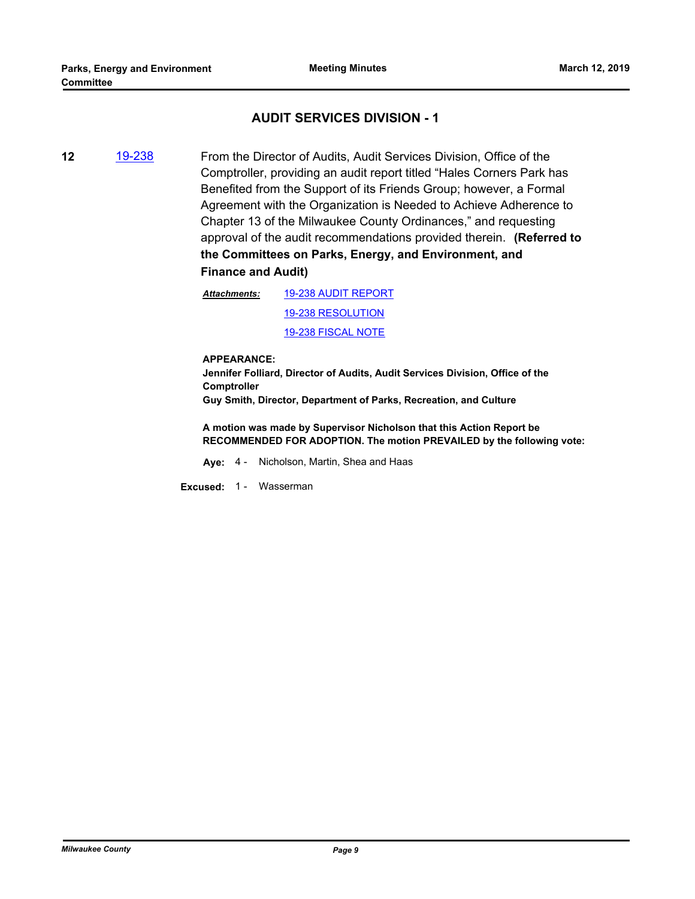## **AUDIT SERVICES DIVISION - 1**

**12** [19-238](http://milwaukeecounty.legistar.com/gateway.aspx?m=l&id=/matter.aspx?key=8748) From the Director of Audits, Audit Services Division, Office of the Comptroller, providing an audit report titled "Hales Corners Park has Benefited from the Support of its Friends Group; however, a Formal Agreement with the Organization is Needed to Achieve Adherence to Chapter 13 of the Milwaukee County Ordinances," and requesting approval of the audit recommendations provided therein. **(Referred to the Committees on Parks, Energy, and Environment, and Finance and Audit)**

> [19-238 AUDIT REPORT](http://MilwaukeeCounty.legistar.com/gateway.aspx?M=F&ID=c8444cb0-7312-4116-97b4-f2f073c7ca85.pdf) [19-238 RESOLUTION](http://MilwaukeeCounty.legistar.com/gateway.aspx?M=F&ID=76870206-0896-459b-918d-6fc8b4572a54.docx) *Attachments:*

[19-238 FISCAL NOTE](http://MilwaukeeCounty.legistar.com/gateway.aspx?M=F&ID=372de700-cb67-458b-8df8-7ff551051b1a.pdf)

**APPEARANCE:**

**Jennifer Folliard, Director of Audits, Audit Services Division, Office of the Comptroller**

**Guy Smith, Director, Department of Parks, Recreation, and Culture**

**A motion was made by Supervisor Nicholson that this Action Report be RECOMMENDED FOR ADOPTION. The motion PREVAILED by the following vote:**

**Aye:** 4 - Nicholson, Martin, Shea and Haas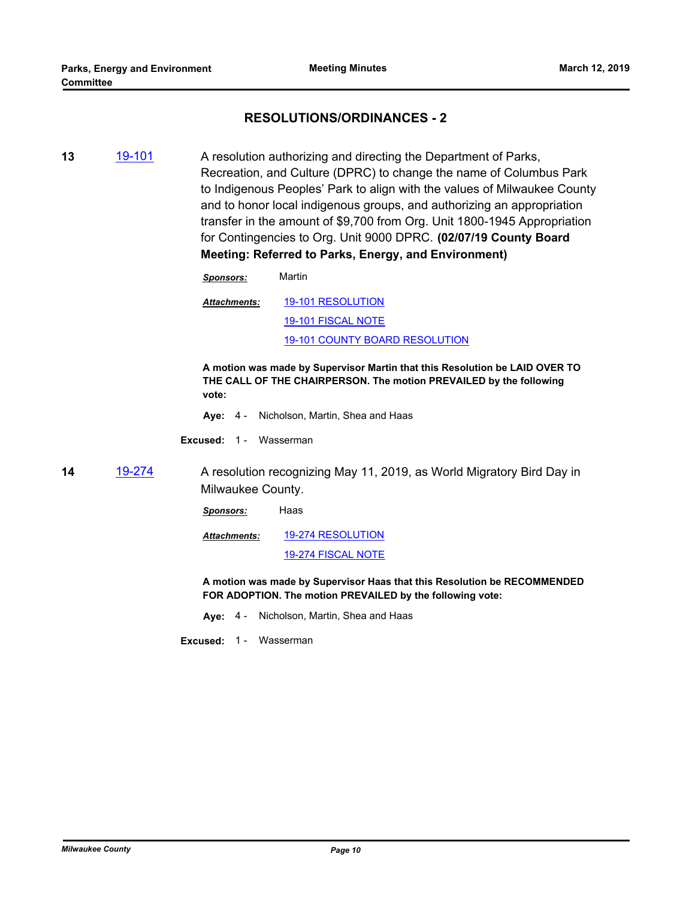## **RESOLUTIONS/ORDINANCES - 2**

- **13** [19-101](http://milwaukeecounty.legistar.com/gateway.aspx?m=l&id=/matter.aspx?key=8613) A resolution authorizing and directing the Department of Parks, Recreation, and Culture (DPRC) to change the name of Columbus Park to Indigenous Peoples' Park to align with the values of Milwaukee County and to honor local indigenous groups, and authorizing an appropriation transfer in the amount of \$9,700 from Org. Unit 1800-1945 Appropriation for Contingencies to Org. Unit 9000 DPRC. **(02/07/19 County Board Meeting: Referred to Parks, Energy, and Environment)**
	- *Sponsors:* Martin
	- [19-101 RESOLUTION](http://MilwaukeeCounty.legistar.com/gateway.aspx?M=F&ID=1b7bab31-120c-4096-91cd-655476c9374d.doc) [19-101 FISCAL NOTE](http://MilwaukeeCounty.legistar.com/gateway.aspx?M=F&ID=563c964c-2275-4fd1-b589-155ef602848f.pdf) [19-101 COUNTY BOARD RESOLUTION](http://MilwaukeeCounty.legistar.com/gateway.aspx?M=F&ID=7c42a756-0da0-4bec-8d6f-bd090c2ecc64.pdf) *Attachments:*

**A motion was made by Supervisor Martin that this Resolution be LAID OVER TO THE CALL OF THE CHAIRPERSON. The motion PREVAILED by the following vote:**

- **Aye:** 4 Nicholson, Martin, Shea and Haas
- **Excused:** 1 Wasserman
- **14** [19-274](http://milwaukeecounty.legistar.com/gateway.aspx?m=l&id=/matter.aspx?key=8788) A resolution recognizing May 11, 2019, as World Migratory Bird Day in Milwaukee County.

*Sponsors:* Haas

[19-274 RESOLUTION](http://MilwaukeeCounty.legistar.com/gateway.aspx?M=F&ID=e4b00de9-da10-433a-953f-c09130a6998a.doc) [19-274 FISCAL NOTE](http://MilwaukeeCounty.legistar.com/gateway.aspx?M=F&ID=9c6314df-11ff-4168-8109-9aa5e5f20fe6.docx) *Attachments:*

**A motion was made by Supervisor Haas that this Resolution be RECOMMENDED FOR ADOPTION. The motion PREVAILED by the following vote:**

**Aye:** 4 - Nicholson, Martin, Shea and Haas